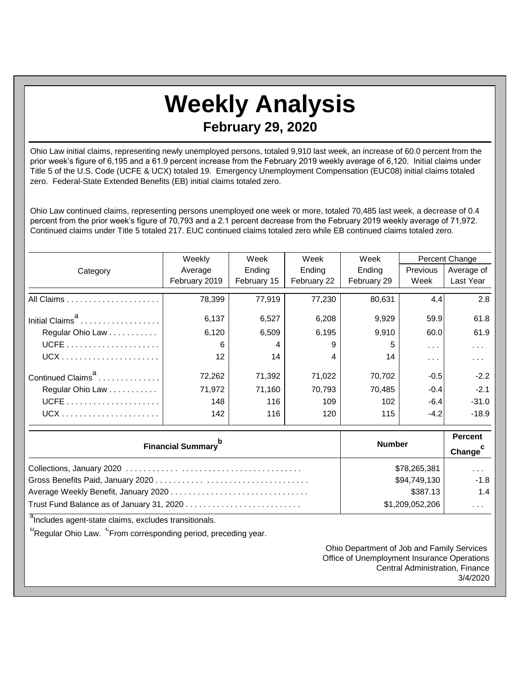## **Weekly Analysis February 29, 2020**

Ohio Law initial claims, representing newly unemployed persons, totaled 9,910 last week, an increase of 60.0 percent from the prior week's figure of 6,195 and a 61.9 percent increase from the February 2019 weekly average of 6,120. Initial claims under Title 5 of the U.S. Code (UCFE & UCX) totaled 19. Emergency Unemployment Compensation (EUC08) initial claims totaled zero. Federal-State Extended Benefits (EB) initial claims totaled zero.

Ohio Law continued claims, representing persons unemployed one week or more, totaled 70,485 last week, a decrease of 0.4 percent from the prior week's figure of 70,793 and a 2.1 percent decrease from the February 2019 weekly average of 71,972. Continued claims under Title 5 totaled 217. EUC continued claims totaled zero while EB continued claims totaled zero.

|                               | Weekly            | Week        | Week        | Week        |               | Percent Change |
|-------------------------------|-------------------|-------------|-------------|-------------|---------------|----------------|
| Category                      | Average           | Ending      | Ending      | Ending      | Previous      | Average of     |
|                               | February 2019     | February 15 | February 22 | February 29 | Week          | Last Year      |
|                               | 78,399            | 77,919      | 77,230      | 80,631      | 4.4           | 2.8            |
| Initial Claims <sup>a</sup>   | 6,137             | 6,527       | 6,208       | 9,929       | 59.9          | 61.8           |
| Regular Ohio Law              | 6,120             | 6,509       | 6,195       | 9,910       | 60.0          | 61.9           |
|                               | 6                 | 4           | 9           | 5           | $\sim$ $\sim$ | $\cdots$       |
|                               | $12 \overline{ }$ | 14          | 4           | 14          | $\cdots$      | .              |
| Continued Claims <sup>a</sup> | 72,262            | 71,392      | 71,022      | 70,702      | $-0.5$        | $-2.2$         |
| Regular Ohio Law              | 71,972            | 71,160      | 70,793      | 70,485      | $-0.4$        | $-2.1$         |
|                               | 148               | 116         | 109         | 102         | $-6.4$        | $-31.0$        |
|                               | 142               | 116         | 120         | 115         | $-4.2$        | $-18.9$        |

| <b>Financial Summary</b> <sup>p</sup> | <b>Number</b>   | <b>Percent</b><br>Change <sup>c</sup> |
|---------------------------------------|-----------------|---------------------------------------|
|                                       | \$78,265,381    | $\cdots$                              |
|                                       | \$94,749,130    | $-1.8$                                |
|                                       | \$387.13        | 1.4                                   |
|                                       | \$1,209,052,206 | $\cdots$                              |

<sup>a</sup>Includes agent-state claims, excludes transitionals.

<sup>b</sup>Regular Ohio Law. <sup>C</sup>From corresponding period, preceding year.

Ohio Department of Job and Family Services Office of Unemployment Insurance Operations Central Administration, Finance 3/4/2020